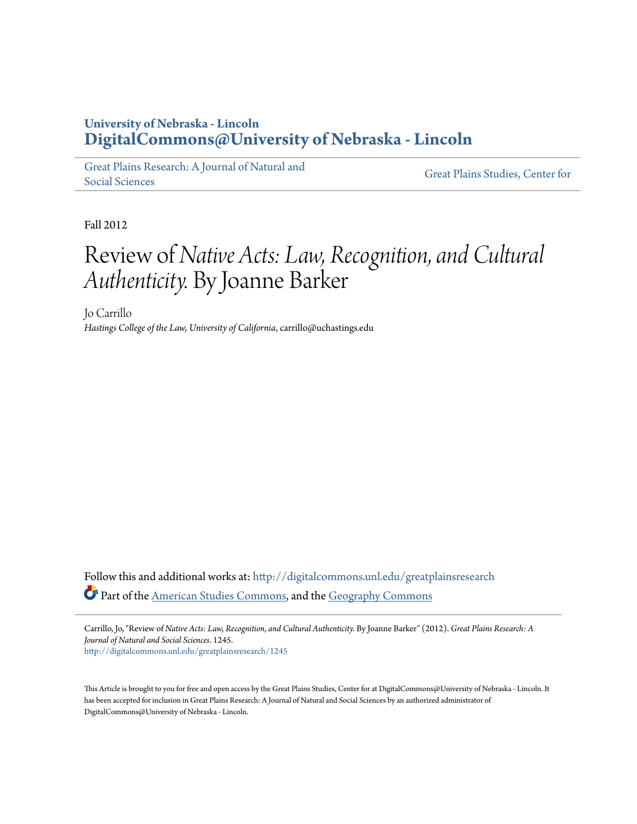## **University of Nebraska - Lincoln [DigitalCommons@University of Nebraska - Lincoln](http://digitalcommons.unl.edu?utm_source=digitalcommons.unl.edu%2Fgreatplainsresearch%2F1245&utm_medium=PDF&utm_campaign=PDFCoverPages)**

[Great Plains Research: A Journal of Natural and](http://digitalcommons.unl.edu/greatplainsresearch?utm_source=digitalcommons.unl.edu%2Fgreatplainsresearch%2F1245&utm_medium=PDF&utm_campaign=PDFCoverPages) [Social Sciences](http://digitalcommons.unl.edu/greatplainsresearch?utm_source=digitalcommons.unl.edu%2Fgreatplainsresearch%2F1245&utm_medium=PDF&utm_campaign=PDFCoverPages)

[Great Plains Studies, Center for](http://digitalcommons.unl.edu/greatplainsstudies?utm_source=digitalcommons.unl.edu%2Fgreatplainsresearch%2F1245&utm_medium=PDF&utm_campaign=PDFCoverPages)

Fall 2012

## Review of*Native Acts: Law, Recognition, and Cultural Authenticity.* By Joanne Barker

Jo Carrillo *Hastings College of the Law, University of California*, carrillo@uchastings.edu

Follow this and additional works at: [http://digitalcommons.unl.edu/greatplainsresearch](http://digitalcommons.unl.edu/greatplainsresearch?utm_source=digitalcommons.unl.edu%2Fgreatplainsresearch%2F1245&utm_medium=PDF&utm_campaign=PDFCoverPages) Part of the [American Studies Commons](http://network.bepress.com/hgg/discipline/439?utm_source=digitalcommons.unl.edu%2Fgreatplainsresearch%2F1245&utm_medium=PDF&utm_campaign=PDFCoverPages), and the [Geography Commons](http://network.bepress.com/hgg/discipline/354?utm_source=digitalcommons.unl.edu%2Fgreatplainsresearch%2F1245&utm_medium=PDF&utm_campaign=PDFCoverPages)

Carrillo, Jo, "Review of *Native Acts: Law, Recognition, and Cultural Authenticity.* By Joanne Barker" (2012). *Great Plains Research: A Journal of Natural and Social Sciences*. 1245. [http://digitalcommons.unl.edu/greatplainsresearch/1245](http://digitalcommons.unl.edu/greatplainsresearch/1245?utm_source=digitalcommons.unl.edu%2Fgreatplainsresearch%2F1245&utm_medium=PDF&utm_campaign=PDFCoverPages)

This Article is brought to you for free and open access by the Great Plains Studies, Center for at DigitalCommons@University of Nebraska - Lincoln. It has been accepted for inclusion in Great Plains Research: A Journal of Natural and Social Sciences by an authorized administrator of DigitalCommons@University of Nebraska - Lincoln.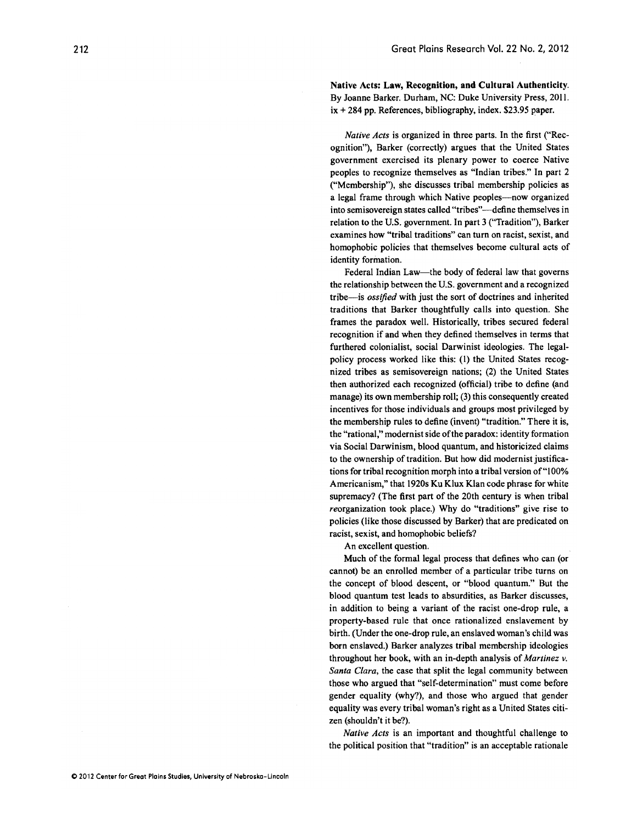Native Acts: Law, Recognition, **and Cultural** Authenticity. By Joanne Barker. Durham, NC: Duke University Press, 2011. ix + 284 pp. References, bibliography, index. \$23.95 paper.

*Native Acts* is organized in three parts. In the first ("Recognition"), Barker (correctly) argues that the United States government exercised its plenary power to coerce Native peoples to recognize themselves as "Indian tribes." In part 2 ("Membership"), she discusses tribal membership policies as a legal frame through which Native peoples—now organized into semisovereign states called "tribes"—define themselves in relation to the U.S. government. In part 3 ("Tradition"), Barker examines how "tribal traditions" can turn on racist, sexist, and homophobic policies that themselves become cultural acts of identity formation.

Federal Indian Law—the body of federal law that governs the relationship between the U.S. government and a recognized tribe-is *ossified* with just the sort of doctrines and inherited traditions that Barker thoughtfully calls into question. She frames the paradox well. Historically, tribes secured federal recognition if and when they defined themselves in terms that furthered colonialist, social Darwinist ideologies. The legalpolicy process worked like this: (I) the United States recognized tribes as semisovereign nations; (2) the United States then authorized each recognized (official) tribe to define (and manage) its own membership roll; (3) this consequently created incentives for those individuals and groups most privileged by the membership rules to define (invent) "tradition." There it is, the "rational," modernist side ofthe paradox: identity formation via Social Darwinism, blood quantum, and historicized claims to the ownership of tradition. But how did modernist justifications for tribal recognition morph into a tribal version of"100% Americanism," that 1920s Ku Klux Klan code phrase for white supremacy? (The first part of the 20th century is when tribal reorganization took place.) Why do "traditions" give rise to policies (like those discussed by Barker) that are predicated on racist, sexist, and homophobic beliefs?

An excellent question.

Much of the formal legal process that defines who can (or cannot) be an enrolled member of a particular tribe turns on the concept of blood descent, or "blood quantum." But the blood quantum test leads to absurdities, as Barker discusses, in addition to being a variant of the racist one-drop rule, a property-based rule that once rationalized enslavement by birth. (Under the one-drop rule, an enslaved woman's child was born enslaved.) Barker analyzes tribal membership ideologies throughout her book, with an in-depth analysis of *Martinez v. Santa Clara,* the case that split the legal community between those who argued that "self-determination" must come before gender equality (why?), and those who argued that gender equality was every tribal woman's right as a United States citizen (shouldn't it be?).

*Native Acts* is an important and thoughtful challenge to the political position that "tradition" is an acceptable rationale